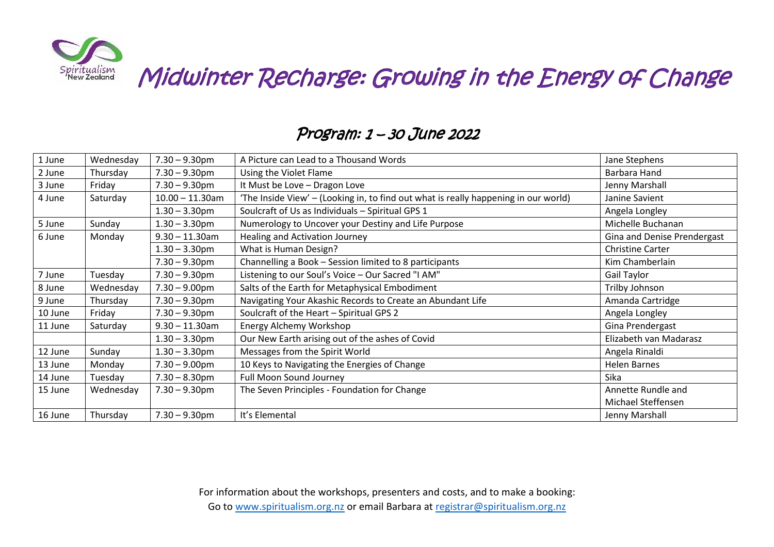

Midwinter Recharge: Growing in the Energy of Change

| 1 June  | Wednesday | $7.30 - 9.30$ pm   | A Picture can Lead to a Thousand Words                                              | Jane Stephens               |
|---------|-----------|--------------------|-------------------------------------------------------------------------------------|-----------------------------|
| 2 June  | Thursday  | $7.30 - 9.30$ pm   | Using the Violet Flame                                                              | Barbara Hand                |
| 3 June  | Friday    | $7.30 - 9.30$ pm   | It Must be Love - Dragon Love                                                       | Jenny Marshall              |
| 4 June  | Saturday  | $10.00 - 11.30$ am | 'The Inside View' - (Looking in, to find out what is really happening in our world) | Janine Savient              |
|         |           | $1.30 - 3.30$ pm   | Soulcraft of Us as Individuals - Spiritual GPS 1                                    | Angela Longley              |
| 5 June  | Sunday    | $1.30 - 3.30$ pm   | Numerology to Uncover your Destiny and Life Purpose                                 | Michelle Buchanan           |
| 6 June  | Monday    | $9.30 - 11.30$ am  | Healing and Activation Journey                                                      | Gina and Denise Prendergast |
|         |           | $1.30 - 3.30$ pm   | What is Human Design?                                                               | <b>Christine Carter</b>     |
|         |           | $7.30 - 9.30$ pm   | Channelling a Book - Session limited to 8 participants                              | Kim Chamberlain             |
| 7 June  | Tuesday   | $7.30 - 9.30$ pm   | Listening to our Soul's Voice - Our Sacred "I AM"                                   | Gail Taylor                 |
| 8 June  | Wednesday | $7.30 - 9.00$ pm   | Salts of the Earth for Metaphysical Embodiment                                      | Trilby Johnson              |
| 9 June  | Thursday  | $7.30 - 9.30$ pm   | Navigating Your Akashic Records to Create an Abundant Life                          | Amanda Cartridge            |
| 10 June | Friday    | $7.30 - 9.30$ pm   | Soulcraft of the Heart - Spiritual GPS 2                                            | Angela Longley              |
| 11 June | Saturday  | $9.30 - 11.30$ am  | Energy Alchemy Workshop                                                             | Gina Prendergast            |
|         |           | $1.30 - 3.30$ pm   | Our New Earth arising out of the ashes of Covid                                     | Elizabeth van Madarasz      |
| 12 June | Sunday    | $1.30 - 3.30$ pm   | Messages from the Spirit World                                                      | Angela Rinaldi              |
| 13 June | Monday    | $7.30 - 9.00$ pm   | 10 Keys to Navigating the Energies of Change                                        | <b>Helen Barnes</b>         |
| 14 June | Tuesday   | $7.30 - 8.30$ pm   | Full Moon Sound Journey                                                             | Sika                        |
| 15 June | Wednesday | $7.30 - 9.30$ pm   | The Seven Principles - Foundation for Change                                        | Annette Rundle and          |
|         |           |                    |                                                                                     | Michael Steffensen          |
| 16 June | Thursday  | $7.30 - 9.30$ pm   | It's Elemental                                                                      | Jenny Marshall              |

## Program: 1 – 30 June 2022

For information about the workshops, presenters and costs, and to make a booking: Go to [www.spiritualism.org.nz](http://www.spiritualism.org.nz/) or email Barbara at [registrar@spiritualism.org.nz](mailto:registrar@spiritualism.org.nz)